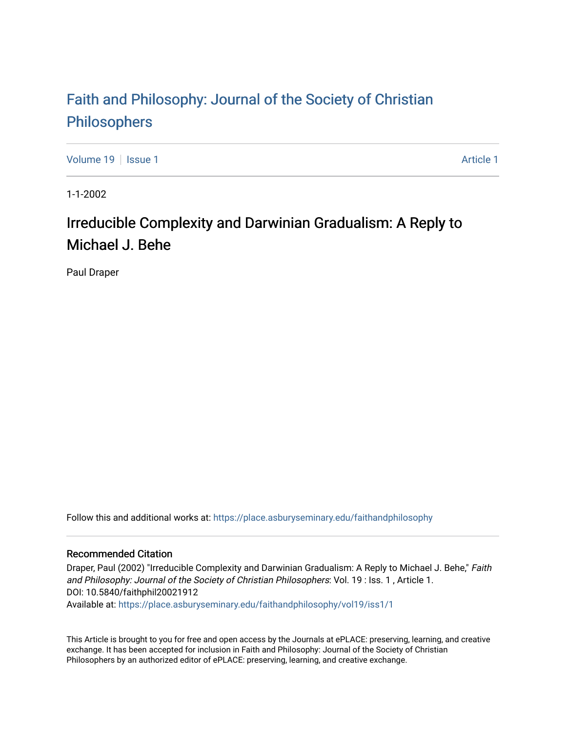# [Faith and Philosophy: Journal of the Society of Christian](https://place.asburyseminary.edu/faithandphilosophy)  [Philosophers](https://place.asburyseminary.edu/faithandphilosophy)

[Volume 19](https://place.asburyseminary.edu/faithandphilosophy/vol19) | [Issue 1](https://place.asburyseminary.edu/faithandphilosophy/vol19/iss1) [Article 1](https://place.asburyseminary.edu/faithandphilosophy/vol19/iss1/1) Article 1 Article 1 Article 1 Article 1 Article 1 Article 1 Article 1 Article 1

1-1-2002

# Irreducible Complexity and Darwinian Gradualism: A Reply to Michael J. Behe

Paul Draper

Follow this and additional works at: [https://place.asburyseminary.edu/faithandphilosophy](https://place.asburyseminary.edu/faithandphilosophy?utm_source=place.asburyseminary.edu%2Ffaithandphilosophy%2Fvol19%2Fiss1%2F1&utm_medium=PDF&utm_campaign=PDFCoverPages)

### Recommended Citation

Draper, Paul (2002) "Irreducible Complexity and Darwinian Gradualism: A Reply to Michael J. Behe," Faith and Philosophy: Journal of the Society of Christian Philosophers: Vol. 19 : Iss. 1 , Article 1. DOI: 10.5840/faithphil20021912

Available at: [https://place.asburyseminary.edu/faithandphilosophy/vol19/iss1/1](https://place.asburyseminary.edu/faithandphilosophy/vol19/iss1/1?utm_source=place.asburyseminary.edu%2Ffaithandphilosophy%2Fvol19%2Fiss1%2F1&utm_medium=PDF&utm_campaign=PDFCoverPages)

This Article is brought to you for free and open access by the Journals at ePLACE: preserving, learning, and creative exchange. It has been accepted for inclusion in Faith and Philosophy: Journal of the Society of Christian Philosophers by an authorized editor of ePLACE: preserving, learning, and creative exchange.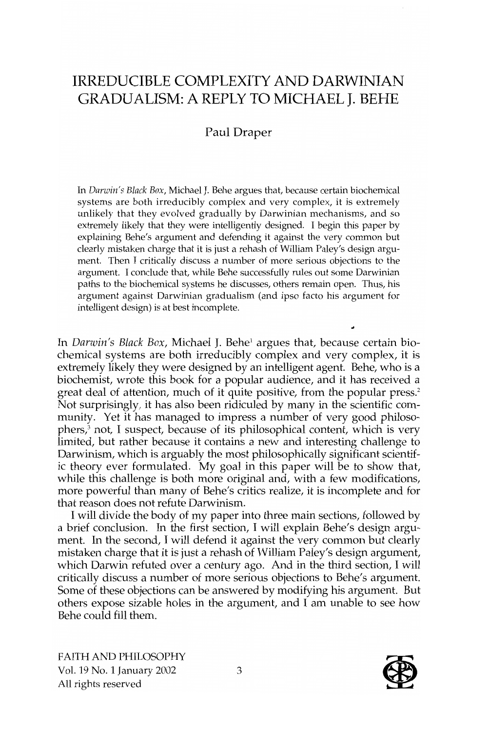## IRREDUCIBLE COMPLEXITY AND DARWINIAN GRADUALISM: A REPLY TO MICHAEL J. BEHE

### Paul Draper

In *Darwin's Black Box,* Michael). Behe argues that, because certain biochemical systems are both irreducibly complex and very complex, it is extremely unlikely that they evolved gradually by Darwinian mechanisms, and so extremely likely that they were intelligently designed. I begin this paper by explaining Behe's argument and defending it against the very common but clearly mistaken charge that it is just a rehash of William Paley's design argument. Then I critically discuss a number of more serious objections to the argument. I conclude that, while Behe successfully rules out some Darwinian paths to the biochemical systems he discusses, others remain open. Thus, his argument against Darwinian gradualism (and ipso facto his argument for intelligent design) is at best incomplete.

In *Darwin's Black Box*, Michael J. Behe<sup>1</sup> argues that, because certain biochemical systems are both irreducibly complex and very complex, it is extremely likely they were designed by an intelligent agent. Behe, who is a biochemist, wrote this book for a popular audience, and it has received a great deal of attention, much of it quite positive, from the popular press.<sup>2</sup> Not surprisingly, it has also been ridiculed by many in the scientific community. Yet it has managed to impress a number of very good philoso $phers<sup>3</sup>$  not, I suspect, because of its philosophical content, which is very limited, but rather because it contains a new and interesting challenge to Darwinism, which is arguably the most philosophically significant scientific theory ever formulated. My goal in this paper will be to show that, while this challenge is both more original and, with a few modifications, more powerful than many of Behe's critics realize, it is incomplete and for that reason does not refute Darwinism.

I will divide the body of my paper into three main sections, followed by a brief conclusion. In the first section, I will explain Behe's design argument. In the second, I will defend it against the very common but clearly mistaken charge that it is just a rehash of William Paley's design argument, which Darwin refuted over a century ago. And in the third section, I will critically discuss a number of more serious objections to Behe's argument. Some of these objections can be answered by modifying his argument. But others expose sizable holes in the argument, and I am unable to see how Behe could fill them.

FAITH AND PHILOSOPHY Vol. 19 No.1 January 2002 All rights reserved

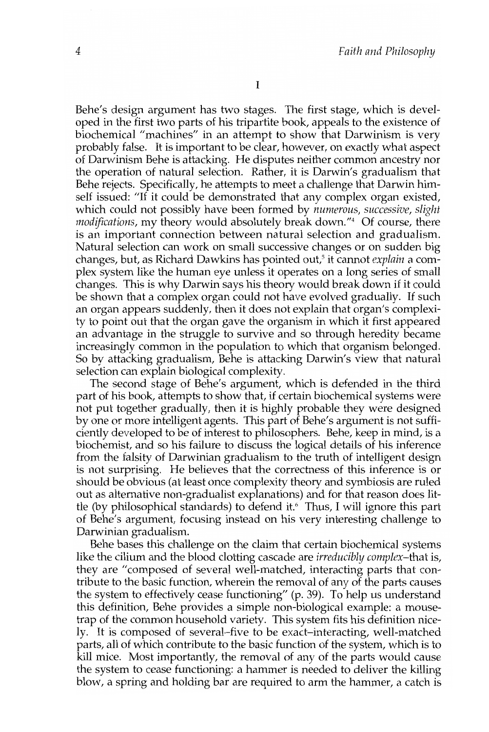Behe's design argument has two stages. The first stage, which is developed in the first two parts of his tripartite book, appeals to the existence of biochemical "machines" in an attempt to show that Darwinism is very probably false. It is important to be clear, however, on exactly what aspect of Darwinism Behe is attacking. He disputes neither common ancestry nor the operation of natural selection. Rather, it is Darwin's gradualism that Behe rejects. Specifically, he attempts to meet a challenge that Darwin himself issued: "If it could be demonstrated that any complex organ existed, which could not possibly have been formed by *numerous, successive, slight modifications,* my theory would absolutely break down."4 Of course, there is an important connection between natural selection and gradualism. Natural selection can work on small successive changes or on sudden big changes, but, as Richard Dawkins has pointed out/ it cannot *explain* a complex system like the human eye unless it operates on a long series of small changes. This is why Darwin says his theory would break down if it could be shown that a complex organ could not have evolved gradually. If such an organ appears suddenly, then it does not explain that organ's complexity to point out that the organ gave the organism in which it first appeared an advantage in the struggle to survive and so through heredity became increasingly common in the population to which that organism belonged. So by attacking gradualism, Behe is attacking Darwin's view that natural selection can explain biological complexity.

The second stage of Behe's argument, which is defended in the third part of his book, attempts to show that, if certain biochemical systems were not put together gradually, then it is highly probable they were designed by one or more intelligent agents. This part of Behe's argument is not sufficiently developed to be of interest to philosophers. Hehe, keep in mind, is a biochemist, and so his failure to discuss the logical details of his inference from the falsity of Danvinian gradualism to the truth of intelligent design is not surprising. He believes that the correctness of this inference is or should be obvious (at least once complexity theory and symbiosis are ruled out as alternative non-gradualist explanations) and for that reason does little (by philosophical standards) to defend it.<sup>6</sup> Thus, I will ignore this part of Behe's argument, focusing instead on his very interesting challenge to Darwinian gradualism.

Behe bases this challenge on the claim that certain biochemical systems like the cilium and the blood clotting cascade are *irreducibly complex-that* is, they are "composed of several well-matched, interacting parts that contribute to the basic function, wherein the removal of any of the parts causes the system to effectively cease functioning" (p. 39). To help us understand this definition, Behe provides a simple non-biological example: a mousetrap of the common household variety. This system fits his definition nicely. It is composed of several-five to be exact-interacting, well-matched parts, all of which contribute to the basic function of the system, which is to kill mice. Most importantly, the removal of any of the parts would cause the system to cease functioning: a hammer is needed to deliver the killing blow, a spring and holding bar are required to arm the hammer, a catch is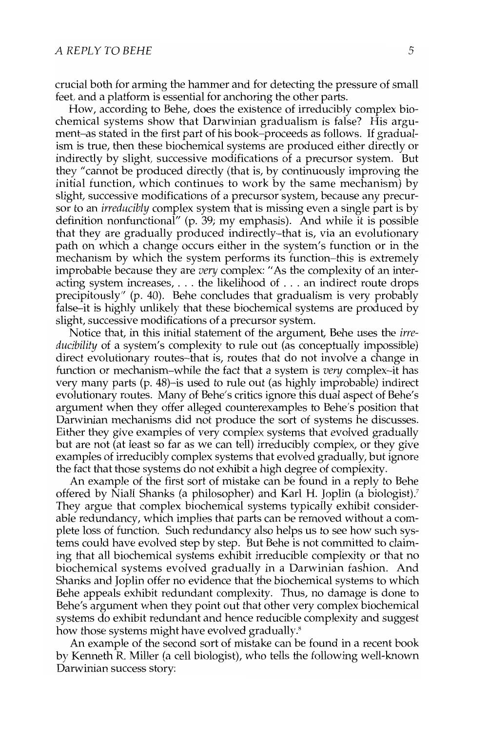crucial both for arming the hammer and for detecting the pressure of small feet, and a platform is essential for anchoring the other parts.

How, according to Behe, does the existence of irreducibly complex biochemical systems show that Darwinian gradualism is false? His argument-as stated in the first part of his book-proceeds as follows. If gradualism is true, then these biochemical systems are produced either directly or indirectly by slight, successive modifications of a precursor system. But they "cannot be produced directly (that is, by continuously improving the initial function, which continues to work by the same mechanism) by slight, successive modifications of a precursor system, because any precursor to an *irreducibly* complex system that is missing even a single part is by definition nonfunctional" (p. 39; my emphasis). And while it is possible that they are gradually produced indirectly-that is, via an evolutionary path on which a change occurs either in the system's function or in the mechanism by which the system performs its function-this is extremely improbable because they are *very* complex: "As the complexity of an interacting system increases,  $\dots$  the likelihood of  $\dots$  an indirect route drops precipitously" (p. 40). Behe concludes that gradualism is very probably false-it is highly unlikely that these biochemical systems are produced by slight, successive modifications of a precursor system.

Notice that, in this initial statement of the argument, Behe uses the *irreducibility* of a system's complexity to rule out (as conceptually impossible) direct evolutionary routes-that is, routes that do not involve a change in function or mechanism-while the fact that a system is *very* complex-it has very many parts (p. 4S)-is used to rule out (as highly improbable) indirect evolutionary routes. Many of Behe's critics ignore this dual aspect of Behe's argument when they offer alleged counterexamples to Behe's position that Darwinian mechanisms did not produce the sort of systems he discusses. Either they give examples of very complex systems that evolved gradually but are not (at least so far as we can tell) irreducibly complex, or they give examples of irreducibly complex systems that evolved gradually, but ignore the fact that those systems do not exhibit a high degree of complexity.

An example of the first sort of mistake can be found in a reply to Behe offered by Niall Shanks (a philosopher) and Karl H. Joplin (a biologist).? They argue that complex biochemical systems typically exhibit considerable redundancy, which implies that parts can be removed without a complete loss of function. Such redundancy also helps us to see how such systems could have evolved step by step. But Behe is not committed to claiming that all biochemical systems exhibit irreducible complexity or that no biochemical systems evolved gradually in a Darwinian fashion. And Shanks and Joplin offer no evidence that the biochemical systems to which Behe appeals exhibit redundant complexity. Thus, no damage is done to Behe's argument when they point out that other very complex biochemical systems do exhibit redundant and hence reducible complexity and suggest how those systems might have evolved gradually.<sup>8</sup>

An example of the second sort of mistake can be found in a recent book by Kenneth R. Miller (a cell biologist), who tells the following well-known Darwinian success story: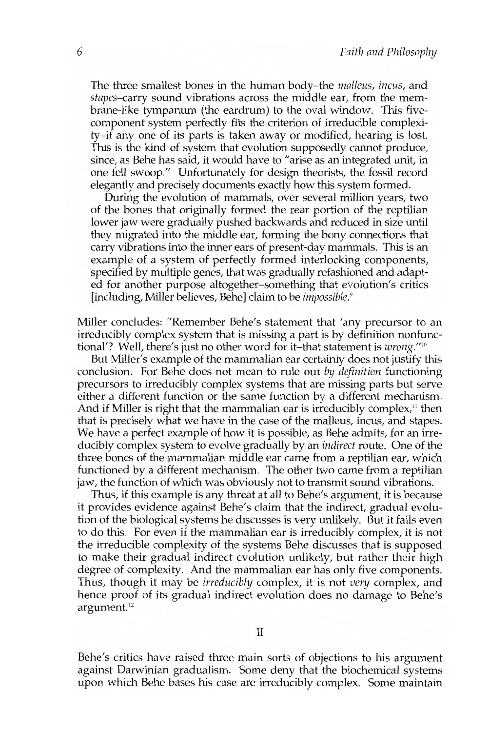The three smallest bones in the human body-the *malleus, incus,* and *stapes-carry* sound vibrations across the middle ear, from the membrane-like tympanum (the eardrum) to the oval window. This fivecomponent system perfectly fits the criterion of irreducible complexity-if anyone of its parts is taken away or modified, hearing is lost. This is the kind of system that evolution supposedly cannot produce, since, as Behe has said, it would have to "arise as an integrated unit, in one fell swoop." Unfortunately for design theorists, the fossil record elegantly and precisely documents exactly how this system formed.

During the evolution of mammals, over several million years, two of the bones that originally formed the rear portion of the reptilian lower jaw were gradually pushed backwards and reduced in size until they migrated into the middle ear, forming the bony connections that carry vibrations into the inner ears of present-day mammals. This is an example of a system of perfectly formed interlocking components, specified by multiple genes, that was gradually refashioned and adapted for another purpose altogether-something that evolution's critics [including, Miller believes, Behe] claim to be *impossible.9* 

Miller concludes: "Remember Behe's statement that 'any precursor to an irreducibly complex system that is missing a part is by definition nonfunctional'? Well, there's just no other word for it-that statement is wrong."<sup>10</sup>

But Miller's example of the mammalian ear certainly does not justify this conclusion. For Behe does not mean to rule out by *definition* functioning precursors to irreducibly complex systems that are missing parts but serve either a different function or the same function by a different mechanism. And if Miller is right that the mammalian ear is irreducibly complex, $<sup>11</sup>$  then</sup> that is precisely what we have in the case of the malleus, incus, and stapes. We have a perfect example of how it is possible, as Behe admits, for an irreducibly complex system to evolve gradually by an *indirect* route. One of the three bones of the mammalian middle ear came from a reptilian ear, which functioned by a different mechanism. The other two came from a reptilian jaw, the function of which was obviously not to transmit sound vibrations.

Thus, if this example is any threat at all to Behe's argument, it is because it provides evidence against Behe's claim that the indirect, gradual evolution of the biological systems he discusses is very unlikely. But it fails even to do this. For even if the mammalian ear is irreducibly complex, it is not the irreducible complexity of the systems Behe discusses that is supposed to make their gradual indirect evolution unlikely, but rather their high degree of complexity. And the mammalian ear has only five components. Thus, though it may be *irreducibly* complex, it is not *very* complex, and hence proof of its gradual indirect evolution does no damage to Behe's argument.<sup>12</sup>

Behe's critics have raised three main sorts of objections to his argument against Darwinian gradualism. Some deny that the biochemical systems upon which Behe bases his case are irreducibly complex. Some maintain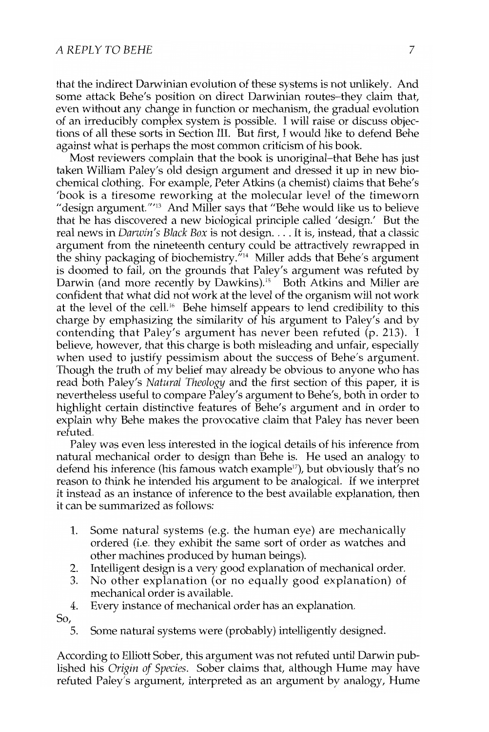that the indirect Darwinian evolution of these systems is not unlikely. And some attack Behe's position on direct Darwinian routes-they claim that, even without any change in function or mechanism, the gradual evolution of an irreducibly complex system is possible. I will raise or discuss objections of all these sorts in Section **III.** But first, T would like to defend Behe against what is perhaps the most common criticism of his book.

Most reviewers complain that the book is unoriginal-that Behe has just taken William Paley's old design argument and dressed it up in new biochemical clothing. For example, Peter Atkins (a chemist) claims that Behe's 'book is a tiresome reworking at the molecular level of the timeworn "design argument."<sup>13</sup> And Miller says that "Behe would like us to believe that he has discovered a new biological principle called 'design.' But the real news in *Darwin's Black Box* is not design .... It is, instead, that a classic argument from the nineteenth century could be attractively rewrapped in the shiny packaging of biochemistry. $i_{14}$  Miller adds that Behe's argument is doomed to fail, on the grounds that Paley's argument was refuted by Darwin (and more recently by Dawkins).<sup>15</sup> Both Atkins and Miller are confident that what did not work at the level of the organism will not work at the level of the cell.<sup>16</sup> Behe himself appears to lend credibility to this charge by emphasizing the similarity of his argument to Paley's and by contending that Paley's argument has never been refuted (p. 213). I believe, however, that this charge is both misleading and unfair, especially when used to justify pessimism about the success of Behe's argument. Though the truth of my belief may already be obvious to anyone who has read both Paley's *Natural Theology* and the first section of this paper, it is nevertheless useful to compare Paley's argument to Behe's, both in order to highlight certain distinctive features of Behe's argument and in order to explain why Behe makes the provocative claim that Paley has never been refuted.

Paley was even less interested in the logical details of his inference from natural mechanical order to design than Behe is. He used an analogy to defend his inference (his famous watch example<sup>17</sup>), but obviously that's no reason to think he intended his argument to be analogical. If we interpret it instead as an instance of inference to the best available explanation, then it can be summarized as follows:

- 1. Some natural systems (e.g. the human eye) are mechanically ordered (i.e. they exhibit the same sort of order as watches and other machines produced by human beings).
- 2. Intelligent design is a very good explanation of mechanical order.
- 3. No other explanation (or no equally good explanation) of mechanical order is available.
- 4. Every instance of mechanical order has an explanation.
- So,
	- S. Some natural systems were (probably) intelligently designed.

According to Elliott Sober, this argument was not refuted until Darwin published his *Origin of Species.* Sober claims that, although Hume may have refuted Paley's argument, interpreted as an argument by analogy, Hume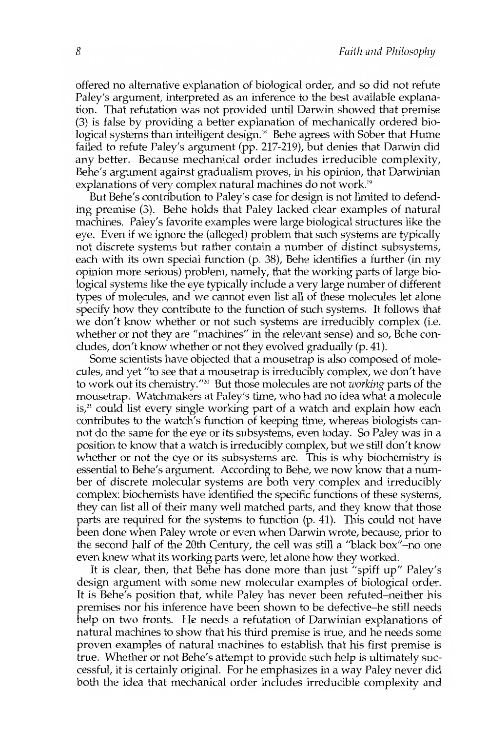offered no alternative explanation of biological order, and so did not refute Paley's argument, interpreted as an inference to the best available explanation. That refutation was not provided until Darwin showed that premise (3) is false by providing a better explanation of mechanically ordered biological systems than intelligent design.<sup>18</sup> Behe agrees with Sober that Hume failed to refute Paley's argument (pp. 217-219), but denies that Darwin did any better. Because mechanical order includes irreducible complexity, Behe's argument against gradualism proves, in his opinion, that Darwinian explanations of very complex natural machines do not work.<sup>19</sup>

But Behe's contribution to Paley's case for design is not limited to defending premise (3). Behe holds that Paley lacked clear examples of natural machines. Paley's favorite examples were large biological structures like the eye. Even if we ignore the (alleged) problem that such systems are typically not discrete systems but rather contain a number of distinct subsystems, each with its own special function (p. 38), Behe identifies a further (in my opinion more serious) problem, namely, that the working parts of large biological systems like the eye typically include a very large number of different types of molecules, and we cannot even list all of these molecules let alone specify how they contribute to the function of such systems. It follows that we don't know whether or not such systems are irreducibly complex (i.e. whether or not they are "machines" in the relevant sense) and so, Behe concludes, don't know whether or not they evolved gradually (p. 41).

Some scientists have objected that a mousetrap is also composed of molecules, and yet "to see that a mousetrap is irreducibly complex, we don't have to work out its chemistry.""] But those molecules are not *working* parts of the mousetrap. Watchmakers at Paley'S time, who had no idea what a molecule  $is<sub>1</sub><sup>21</sup>$  could list every single working part of a watch and explain how each contributes to the watch's function of keeping time, whereas biologists cannot do the same for the eye or its subsystems, even today. So Paley was in a position to know that a watch is irreducibly complex, but we still don't know whether or not the eye or its subsystems are. This is why biochemistry is essential to Behe's argument. According to Behe, we now know that a number of discrete molecular systems are both very complex and irreducibly complex: biochemists have identified the specific functions of these systems, they can list all of their many well matched parts, and they know that those parts are required for the systems to function (p. 41). This could not have been done when Paley wrote or even when Darwin wrote, because, prior to the second half of the 20th Century, the cell was still a "black box"-no one even knew what its working parts were, let alone how they worked.

It is clear, then, that Behe has done more than just "spiff up" Paley's design argument with some new molecular examples of biological order. It is Behe's position that, while Paley has never been refuted-neither his premises nor his inference have been shown to be defective-he still needs help on two fronts. He needs a refutation of Darwinian explanations of natural machines to show that his third premise is true, and he needs some proven examples of natural machines to establish that his first premise is true. Whether or not Behe's attempt to provide such help is ultimately successful, it is certainly original. For he emphasizes in a way Paley never did both the idea that mechanical order includes irreducible complexity and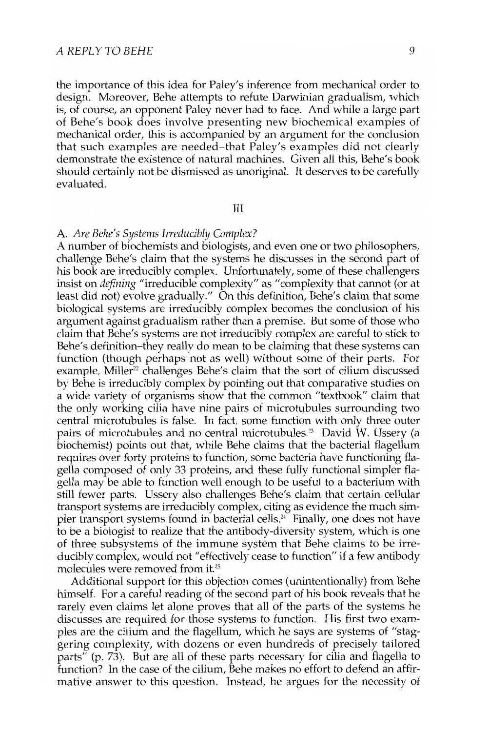the importance of this idea for Paley's inference from mechanical order to design. Moreover, Behe attempts to refute Darwinian gradualism, which is, of course, an opponent Paley never had to face. And while a large part of Behe's book does involve presenting new biochemical examples of mechanical order, this is accompanied by an argument for the conclusion that such examples are needed-that Paley's examples did not clearly demonstrate the existence of natural machines. Given all this, Behe's book should certainly not be dismissed as unoriginal. It deserves to be carefully evaluated.

#### III

#### A. *Arc Behc's Systems Irreducibly Complex?*

A number of biochemists and biologists, and even one or two philosophers, challenge Behe's claim that the systems he discusses in the second part of his book are irreducibly complex. Unfortunately, some of these challengers insist on *defining* "irreducible complexity" as "complexity that cannot (or at least did not) evolve gradually." On this definition, Behe's claim that some biological systems are irreducibly complex becomes the conclusion of his argument against gradualism rather than a premise. But some of those who claim that Behe's systems are not irreducibly complex are careful to stick to Behe's definition-they really do mean to be claiming that these systems can function (though perhaps not as well) without some of their parts. For example, Miller<sup>22</sup> challenges Behe's claim that the sort of cilium discussed by Behe is irreducibly complex by pointing out that comparative studies on a wide variety of organisms show that the common "textbook" claim that the only working cilia have nine pairs of microtubules surrounding two central microtubules is false. Tn fact, some function with only three outer pairs of microtubules and no central microtubules.<sup>23</sup> David W. Ussery (a biochemist) points out that, while Behe claims that the bacterial flagellum requires over forty proteins to function, some bacteria have functioning flagella composed of only 33 proteins, and these fully functional simpler flagella may be able to function well enough to be useful to a bacterium with still fewer parts. Ussery also challenges Behe's claim that certain cellular transport systems are irreducibly complex, citing as evidence the much simpler transport systems found in bacterial cells.<sup>24</sup> Finally, one does not have to be a biologist to realize that the antibody-diversity system, which is one of three subsystems of the immune system that Behe claims to be irreducibly complex, would not "effectively cease to function" if a few antibody molecules were removed from it.<sup>25</sup>

Additional support for this objection comes (unintentionally) from Behe himself. For a careful reading of the second part of his book reveals that he rarely even claims let alone proves that all of the parts of the systems he discusses are required for those systems to function. His first two examples are the cilium and the flagellum, which he says are systems of "staggering complexity, with dozens or even hundreds of precisely tailored parts" (p. 73). But are all of these parts necessary for cilia and flagella to function? In the case of the cilium, Behe makes no effort to defend an affirmative answer to this question. Instead, he argues for the necessity of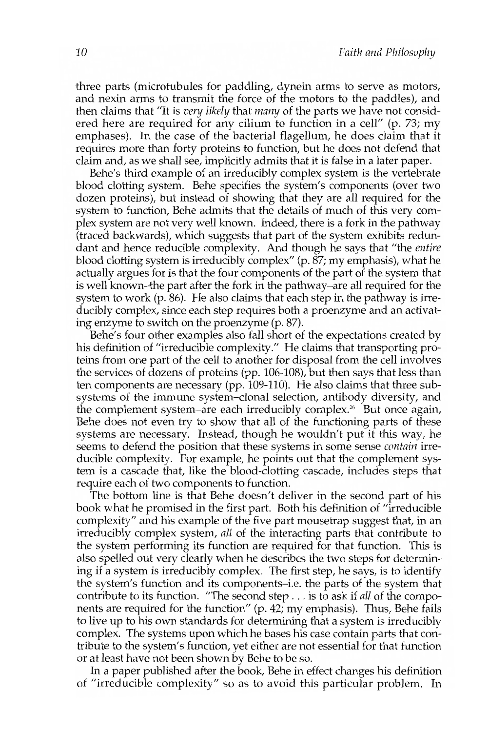three parts (microtubules for paddling, dynein arms to serve as motors, and nexin arms to transmit the force of the motors to the paddles), and then claims that ''It is *very likely* that *many* of the parts we have not considered here are required for any cilium to function in a cell" (p. 73; my emphases). In the case of the bacterial flagellum, he does claim that it requires more than forty proteins to function, but he does not defend that claim and, as we shall see, implicitly admits that it is false in a later paper.

Behe's third example of an irreducibly complex system is the vertebrate blood clotting system. Behe specifies the system's components (over two dozen proteins), but instead of showing that they are all required for the system to function, Behe admits that the details of much of this very complex system are not very well known. Indeed, there is a fork in the pathway (traced backwards), which suggests that part of the system exhibits redundant and hence reducible complexity. And though he says that "the *entire*  blood dotting system is irreducibly complex" (p. 87; my emphasis), what he actually argues for is that the four components of the part of the system that is well known-the part after the fork in the pathway-are all required for the system to work (p. 86). He also claims that each step in the pathway is irreducibly complex, since each step requires both a proenzyme and an activating enzyme to switch on the proenzyme (p. 87).

Behe's four other examples also fall short of the expectations created by his definition of "irreducible complexity." He claims that transporting proteins from one part of the cell to another for disposal from the cell involves the services of dozens of proteins (pp. 106-108), but then says that less than ten components are necessary (pp. 109-110). He also claims that three subsystems of the immune system-clonal selection, antibody diversity, and the complement system-are each irreducibly complex.<sup>26</sup> But once again, Behe does not even try to show that all of the functioning parts of these systems are necessary. Instead, though he wouldn't put it this way, he seems to defend the position that these systems in some sense *contain* irreducible complexity. For example, he points out that the complement system is a cascade that, like the blood-clotting cascade, includes steps that require each of two components to function.

The bottom line is that Behe doesn't deliver in the second part of his book what he promised in the first part. Both his definition of "irreducible complexity" and his example of the five part mousetrap suggest that, in an irreducibly complex system, *all* of the interacting parts that contribute to the system performing its function are required for that function. This is also spelled out very clearly when he describes the two steps for determining if a system is irreducibly complex. The first step, he says, is to identify the system's function and its components-i.e. the parts of the system that contribute to its function. "The second step ... is to ask if *all* of the components are required for the function" (p. 42; my emphasis). Thus, Behe fails to live up to his own standards for determining that a system is irreducibly complex. The systems upon which he bases his case contain parts that contribute to the system's function, yet either are not essential for that function or at least have not been shown by Behe to be so.

In a paper published after the book, Behe in effect changes his definition of "irreducible complexity" so as to avoid this particular problem. In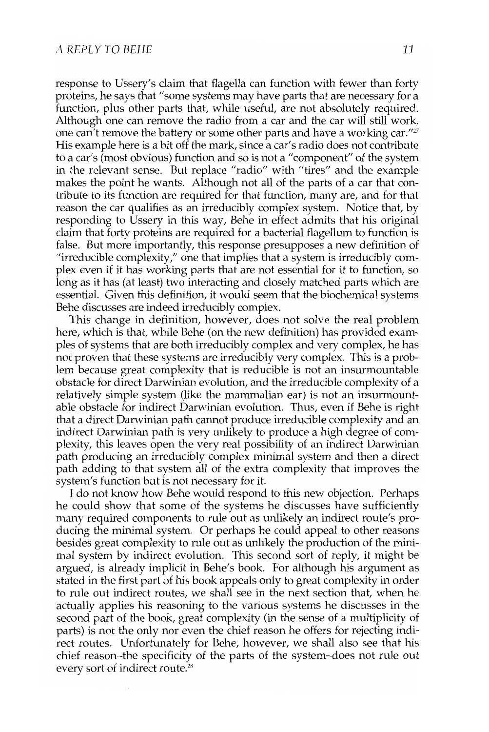response to Ussery's claim that flagella can function with fewer than forty proteins, he says that "some systems may have parts that are necessary for a function, plus other parts that, while useful, are not absolutely required. Although one can remove the radio from a car and the car will still work, one can't remove the battery or some other parts and have a working car."" His example here is a bit off the mark, since a car's radio does not contribute to a car's (most obvious) function and so is not a "component" of the system in the relevant sense. But replace "radio" with "tires" and the example makes the point he wants. Although not all of the parts of a car that contribute to its function are required for that function, many are, and for that reason the car qualifies as an irreducibly complex system. Notice that, by responding to Ussery in this way, Behe in effect admits that his original claim that forty proteins are required for a bacterial flagellum to function is false. But more importantly, this response presupposes a new definition of "irreducible complexity," one that implies that a system is irreducibly complex even if it has working parts that are not essential for it to function, so long as it has (at least) two interacting and closely matched parts which are essential. Given this definition, it would seem that the biochemical svstems Behe discusses are indeed irreducibly complex.

This change in definition, however, does not solve the real problem here, which is that, while Behe (on the new definition) has provided examples of systems that are both irreducibly complex and very complex, he has not proven that these systems are irreducibly very complex. This is a problem because great complexity that is reducible is not an insurmountable obstacle for direct Darwinian evolution, and the irreducible complexity of a relatively simple system (like the mammalian ear) is not an insurmountable obstacle for indirect Darwinian evolution. Thus, even if Behe is right that a direct Darwinian path cannot produce irreducible complexity and an indirect Darwinian path is very unlikely to produce a high degree of complexity, this leaves open the very real possibility of an indirect Darwinian path producing an irreducibly complex minimal system and then a direct path adding to that system all of the extra complexity that improves the system's function but is not necessary for it.

I do not know how Behe would respond to this new objection. Perhaps he could show that some of the systems he discusses have sufficiently many required components to rule out as unlikely an indirect route's producing the minimal system. Or perhaps he could appeal to other reasons besides great complexity to rule out as unlikely the production of the minimal system by indirect evolution. This second sort of reply, it might be argued, is already implicit in Behe's book. For although his argument as stated in the first part of his book appeals only to great complexity in order to rule out indirect routes, we shall see in the next section that, when he actually applies his reasoning to the various systems he discusses in the second part of the book, great complexity (in the sense of a multiplicity of parts) is not the only nor even the chief reason he offers for rejecting indirect routes. Unfortunately for Behe, however, we shall also see that his chief reason-the specificity of the parts of the system-does not rule out every sort of indirect route.<sup>28</sup>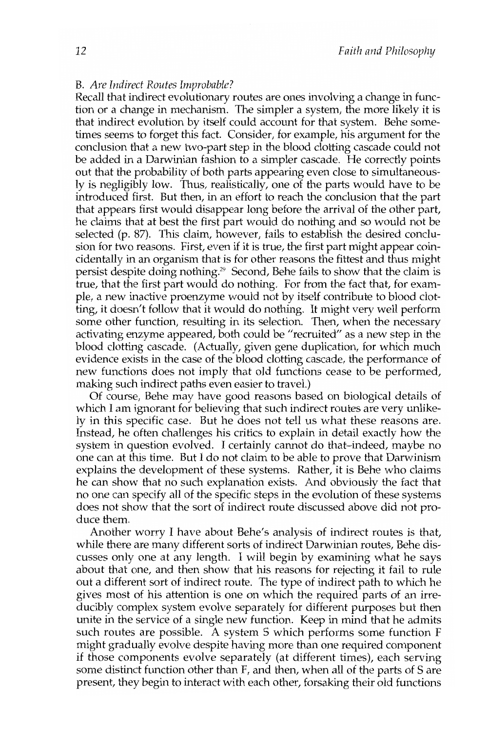#### B. *Are Indirect Routes Improbable?*

Recall that indirect evolutionary routes are ones involving a change in function or a change in mechanism. The simpler a system, the more likely it is that indirect evolution by itself could account for that system. Behe sometimes seems to forget this fact. Consider, for example, his argument for the conclusion that a new two-part step in the blood clotting cascade could not be added in a Darwinian fashion to a simpler cascade. He correctly points out that the probability of both parts appearing even close to simultaneously is negligibly low. Thus, realistically, one of the parts would have to be introduced first. But then, in an effort to reach the conclusion that the part that appears first would disappear long before the arrival of the other part, he claims that at best the first part would do nothing and so would not be selected (p. 87). This claim, however, fails to establish the desired conclusion for two reasons. First, even if it is true, the first part might appear coincidentally in an organism that is for other reasons the fittest and thus might persist despite doing nothing.<sup>29</sup> Second, Behe fails to show that the claim is true, that the first part would do nothing. For from the fact that, for example, a new inactive proenzyme would not by itself contribute to blood clotting, it doesn't follow that it would do nothing. It might very well perform some other function, resulting in its selection. Then, when the necessary activating enzyme appeared, both could be "recruited" as a new step in the blood clotting cascade. (Actually, given gene duplication, for which much evidence exists in the case of the blood clotting cascade, the performance of new functions does not imply that old functions cease to be performed, making such indirect paths even easier to travel.)

Of course, Behe may have good reasons based on biological details of which I am ignorant for believing that such indirect routes are very unlikely in this specific case. But he does not tell us what these reasons are. Instead, he often challenges his critics to explain in detail exactly how the system in question evolved. I certainly cannot do that-indeed, maybe no one can at this time. But I do not claim to be able to prove that Darwinism explains the development of these systems. Rather, it is Behe who claims he can show that no such explanation exists. And obviously the fact that no one can specify all of the specific steps in the evolution of these systems does not show that the sort of indirect route discussed above did not produce them.

Another worry I have about Behe's analysis of indirect routes is that, while there are many different sorts of indirect Darwinian routes, Behe discusses only one at any length. I will begin by examining what he says about that one, and then show that his reasons for rejecting it fail to rule out a different sort of indirect route. The type of indirect path to which he gives most of his attention is one on which the required parts of an irreducibly complex system evolve separately for different purposes but then unite in the service of a single new function. Keep in mind that he admits such routes are possible. A system S which performs some function F might gradually evolve despite having more than one required component if those components evolve separately (at different times), each serving some distinct function other than F, and then, when all of the parts of S are present, they begin to interact with each other, forsaking their old functions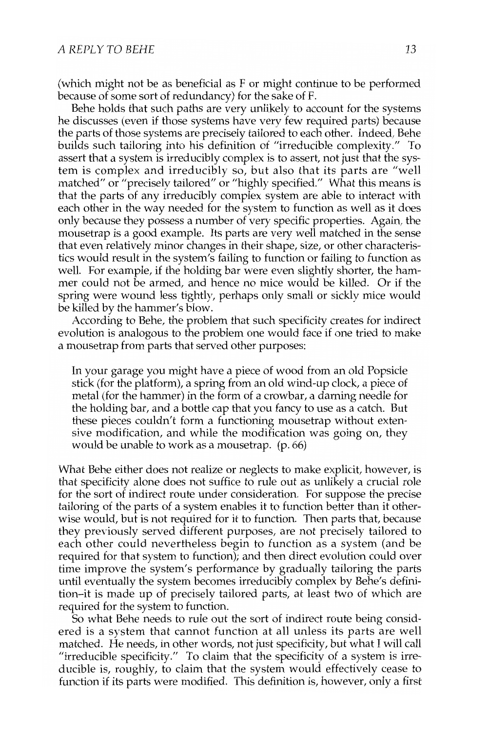(which might not be as beneficial as F or might continue to be performed because of some sort of redundancy) for the sake of F.

Behe holds that such paths are very unlikely to account for the systems he discusses (even if those systems have very few required parts) because the parts of those systems are precisely tailored to each other. Indeed, Behe builds such tailoring into his definition of "irreducible complexity." To assert that a system is irreducibly complex is to assert, not just that the system is complex and irreducibly so, but also that its parts are "well matched" or "precisely tailored" or "highly specified." What this means is that the parts of any irreducibly complex system are able to interact with each other in the way needed for the system to function as well as it does only because they possess a number of very specific properties. Again, the mousetrap is a good example. Its parts are very well matched in the sense that even relatively minor changes in their shape, size, or other characteristics would result in the system's failing to function or failing to function as well. For example, if the holding bar were even slightly shorter, the hammer could not be armed, and hence no mice would be killed. Or if the spring were wound less tightly, perhaps only small or sickly mice would be killed by the hammer's blow.

According to Behe, the problem that such specificity creates for indirect evolution is analogous to the problem one would face if one tried to make a mousetrap from parts that served other purposes:

In your garage you might have a piece of wood from an old Popsicle stick (for the platform), a spring from an old wind-up clock, a piece of metal (for the hammer) in the form of a crowbar, a darning needle for the holding bar, and a bottle cap that you fancy to use as a catch. But these pieces couldn't form a functioning mousetrap without extensive modification, and while the modification was going on, they would be unable to work as a mousetrap. (p. 66)

What Behe either does not realize or neglects to make explicit, however, is that specificity alone does not suffice to rule out as unlikely a crucial role for the sort of indirect route under consideration. For suppose the precise tailoring of the parts of a system enables it to function better than it otherwise would, but is not required for it to function. Then parts that, because they previously served different purposes, are not precisely tailored to each other could nevertheless begin to function as a system (and be required for that system to function); and then direct evolution could over time improve the system's performance by gradually tailoring the parts until eventually the system becomes irreducibly complex by Behe's definition-it is made up of precisely tailored parts, at least two of which are required for the system to function.

So what Behe needs to rule out the sort of indirect route being considered is a system that cannot function at all unless its parts are well matched. He needs, in other words, not just specificity, but what I will call "irreducible specificity." To claim that the specificity of a system is irreducible is, roughly, to claim that the system would effectively cease to function if its parts were modified. This definition is, however, only a first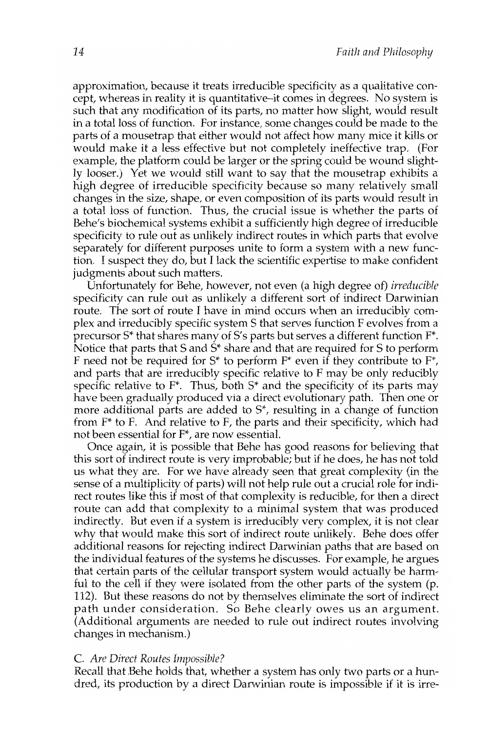approximation, because it treats irreducible specificity as a qualitative concept, whereas in reality it is quantitative-it comes in degrees. No system is such that any modification of its parts, no matter how slight, would result in a total loss of function. For instance, some changes could be made to the parts of a mousetrap that either would not affect how many mice it kills or would make it a less effective but not completely ineffective trap. (For example, the platform could be larger or the spring could be wound slightly looser.) Yet we would still want to say that the mousetrap exhibits a high degree of irreducible specificity because so many relatively small changes in the size, shape, or even composition of its parts would result in a total loss of function. Thus, the crucial issue is whether the parts of Behe's biochemical systems exhibit a sufficiently high degree of irreducible specificity to rule out as unlikely indirect routes in which parts that evolve separately for different purposes unite to form a system with a new function. I suspect they do, but I lack the scientific expertise to make confident judgments about such matters.

Unfortunately for Behe, however, not even (a high degree of) *irreducible*  specificity can rule out as unlikely a different sort of indirect Darwinian route. The sort of route I have in mind occurs when an irreducibly complex and irreducibly specific system S that serves function F evolves from a precursor  $S^*$  that shares many of  $S'$ s parts but serves a different function  $F^*$ . Notice that parts that S and  $\rm \dot{S}^*$  share and that are required for S to perform F need not be required for  $S^*$  to perform  $F^*$  even if they contribute to  $F^*$ , and parts that are irreducibly specific relative to F may be only reducibly specific relative to  $F^*$ . Thus, both  $S^*$  and the specificity of its parts may have been gradually produced via a direct evolutionary path. Then one or more additional parts are added to 5\*, resulting in a change of function from  $F^*$  to F. And relative to F, the parts and their specificity, which had not been essential for F\*, are now essential.

Once again, it is possible that Behe has good reasons for believing that this sort of indirect route is very improbable; but if he does, he has not told us what they are. For we have already seen that great complexity (in the sense of a multiplicity of parts) will not help rule out a crucial role for indirect routes like this if most of that complexity is reducible, for then a direct route can add that complexity to a minimal system that was produced indirectly. But even if a system is irreducibly very complex, it is not clear why that would make this sort of indirect route unlikely. Behe does offer additional reasons for rejecting indirect Darwinian paths that are based on the individual features of the systems he discusses. For example, he argues that certain parts of the cellular transport system would actually be harmful to the cell if they were isolated from the other parts of the system (p. 112). But these reasons do not by themselves eliminate the sort of indirect path under consideration. 50 Behe clearly owes us an argument. (Additional arguments are needed to rule out indirect routes involving changes in mechanism.)

#### C. *Are Direct Routes Impossible?*

Recall that Behe holds that, whether a system has only two parts or a hundred, its production by a direct Darwinian route is impossible if it is irre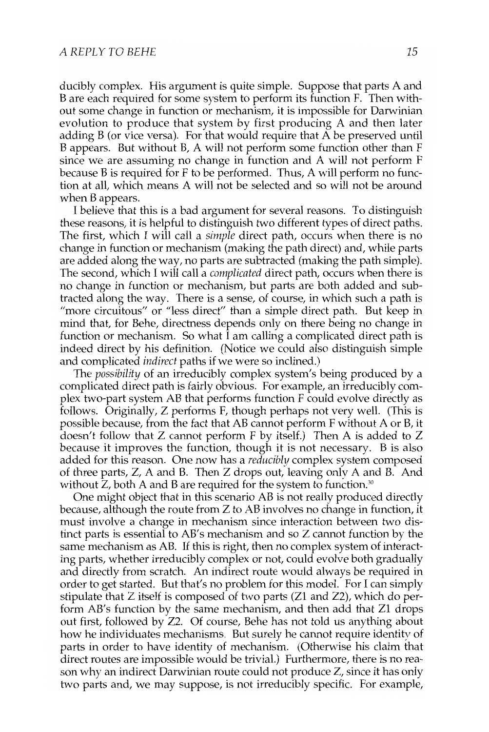ducibly complex. His argument is quite simple. Suppose that parts A and B are each required for some system to perform its function F. Then without some change in function or mechanism, it is impossible for Darwinian evolution to produce that system by first producing A and then later adding B (or vice versa). For that would require that A be preserved until B appears. But without B, A will not perform some function other than F since we are assuming no change in function and A will not perform F because B is required for F to be performed. Thus, A will perform no function at all, which means A will not be selected and so will not be around when B appears.

I believe that this is a bad argument for several reasons. To distinguish these reasons, it is helpful to distinguish two different types of direct paths. The first, which I will call a *simple* direct path, occurs when there is no change in function or mechanism (making the path direct) and, while parts are added along the way, no parts are subtracted (making the path simple). The second, which I will call a *complicated* direct path, occurs when there is no change in function or mechanism, but parts are both added and subtracted along the way. There is a sense, of course, in which such a path is "more circuitous" or "less direct" than a simple direct path. But keep in mind that, for Behe, directness depends only on there being no change in function or mechanism. So what I am calling a complicated direct path is indeed direct by his definition. (Notice we could also distinguish simple and complicated *indirect* paths if we were so inclined.)

The *possibility* of an irreducibly complex system's being produced by a complicated direct path is fairly obvious. For example, an irreducibly complex two-part system AB that performs function F could evolve directly as follows. Originally, Z performs F, though perhaps not very well. (This is possible because, from the fact that AB cannot perform F without A or B, it doesn't follow that Z cannot perform F by itself.) Then A is added to Z because it improves the function, though it is not necessary. B is also added for this reason. One now has a *reducibly* complex system composed of three parts, Z, A and B. Then Z drops out, leaving only A and B. And without  $Z$ , both A and B are required for the system to function.<sup>30</sup>

One might object that in this scenario AB is not really produced directly because, although the route from Z to AB involves no change in function, it must involve a change in mechanism since interaction between two distinct parts is essential to AB's mechanism and so Z cannot function by the same mechanism as AB. If this is right, then no complex system of interacting parts, whether irreducibly complex or not, could evolve both gradually and directly from scratch. An indirect route would always be required in order to get started. But that's no problem for this model. For I can simply stipulate that Z itself is composed of two parts  $(Z1$  and  $Z2)$ , which do perform AB's function by the same mechanism, and then add that Zl drops out first, followed by Z2. Of course, Behe has not told us anything about how he individuates mechanisms. But surely he cannot require identity of parts in order to have identity of mechanism. (Otherwise his claim that direct routes are impossible would *be* trivial.) Furthermore, there is no reason why an indirect Darwinian route could not produce Z, since it has only two parts and, we may suppose, is not irreducibly specific. For example,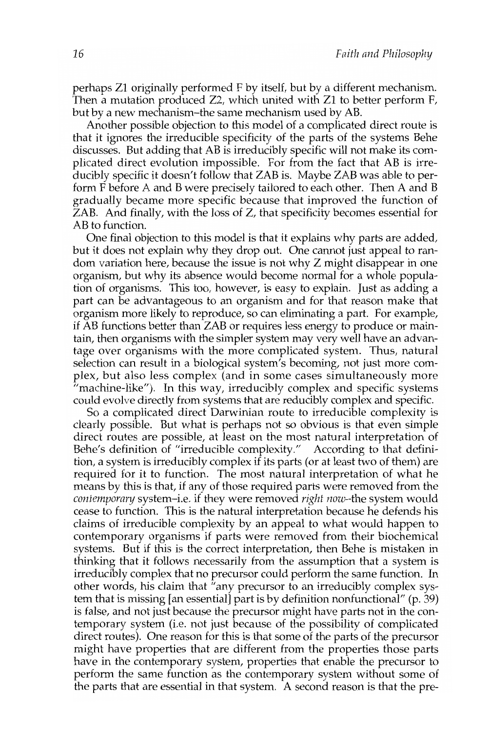perhaps Z1 originally performed F by itself, but by a different mechanism. Then a mutation produced Z2, which united with Z1 to better perform F, but by a new mechanism-the same mechanism used by AB.

Another possible objection to this model of a complicated direct route is that it ignores the irreducible specificity of the parts of the systems Behe discusses. But adding that AB is irreducibly specific will not make its complicated direct evolution impossible. For from the fact that AB is irreducibly specific it doesn't follow that ZAB is. Maybe ZAB was able to perform F before A and B were precisely tailored to each other. Then A and B gradually became more specific because that improved the function of ZAB. And finally, with the loss of Z, that specificity becomes essential for AB to function.

One final objection to this model is that it explains why parts are added, but it does not explain why they drop out. One cannot just appeal to random variation here, because the issue is not why Z might disappear in one organism, but why its absence would become normal for a whole population of organisms. This too, however, is easy to explain. Just as adding a part can be advantageous to an organism and for that reason make that organism more likely to reproduce, so can eliminating a part. For example, if AB functions better than ZAB or requires less energy to produce or maintain, then organisms with the simpler system may very well have an advantage over organisms with the more complicated system. Thus, natural selection can result in a biological system's becoming, not just more complex, but also less complex (and in some cases simultaneously more "machine-like"). In this way, irreducibly complex and specific systems could evolve directly from systems that are reducibly complex and specific.

So a complicated direct Darwinian route to irreducible complexity is clearly possible. But what is perhaps not so obvious is that even simple direct routes are possible, at least on the most natural interpretation of Behe's definition of "irreducible complexity." According to that definition, a system is irreducibly complex if its parts (or at least two of them) are required for it to function. The most natural interpretation of what he means by this is that, if any of those required parts were removed from the *contemporary* system-i.e. if they were removed *right now-the* system would cease to function. This is the natural interpretation because he defends his claims of irreducible complexity by an appeal to what would happen to contemporary organisms if parts were removed from their biochemical systems. But if this is the correct interpretation, then Behe is mistaken in thinking that it follows necessarily from the assumption that a system is irreducibly complex that no precursor could perform the same function. In other words, his claim that "any precursor to an irreducibly complex system that is missing [an essential] part is by definition nonfunctional" (p. 39) is false, and not just because the precursor might have parts not in the contemporary system (i.e. not just because of the possibility of complicated direct routes). One reason for this is that some of the parts of the precursor might have properties that are different from the properties those parts have in the contemporary system, properties that enable the precursor to perform the same function as the contemporary system without some of the parts that are essential in that system. A second reason is that the pre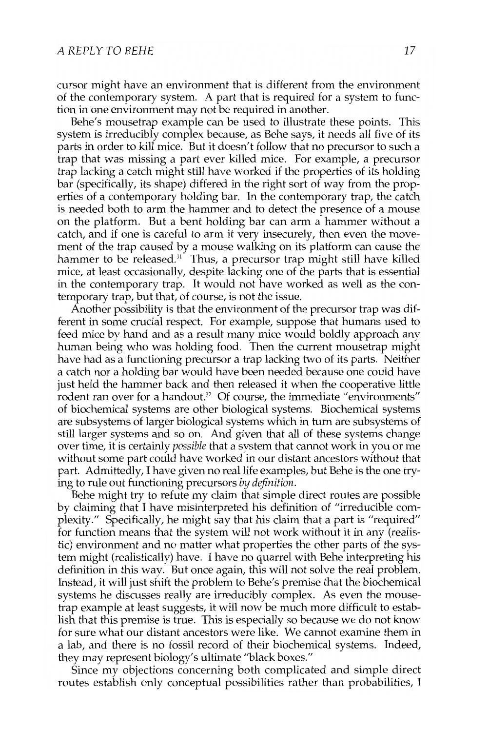cursor might have an environment that is different from the environment of the contemporary system. A part that is required for a system to function in one environment may not be required in another.

Behe's mousetrap example can be used to illustrate these points. This system is irreducibly complex because, as Behe says, it needs all five of its parts in order to kill mice. But it doesn't follow that no precursor to such a trap that was missing a part ever killed mice. For example, a precursor trap lacking a catch might still have worked if the properties of its holding bar (specifically, its shape) differed in the right sort of way from the properties of a contemporary holding bar. In the contemporary trap, the catch is needed both to arm the hammer and to detect the presence of a mouse on the platform. But a bent holding bar can arm a hammer without a catch, and if one is careful to arm it very insecurely, then even the movement of the trap caused by a mouse walking on its platform can cause the hammer to be released.<sup>31</sup> Thus, a precursor trap might still have killed mice, at least occasionally, despite lacking one of the parts that is essential in the contemporary trap. It would not have worked as well as the contemporary trap, but that, of course, is not the issue.

Another possibility is that the environment of the precursor trap was different in some crucial respect. For example, suppose that humans used to feed mice by hand and as a result many mice would boldly approach any human being who was holding food. Then the current mousetrap might *have* had as a functioning precursor a trap lacking two of its parts. Neither a catch nor a holding bar would have been needed because one could have just held the hammer back and then released it when the cooperative little rodent ran over for a handout.<sup>32</sup> Of course, the immediate "environments" of biochemical systems are other biological systems. Biochemical systems are subsystems of larger biological systems which in tum are subsystems of still larger systems and so on. And given that all of these systems change over time, it is certainly *possible* that a system that cannot work in you or me without some part could have worked in our distant ancestors without that part. Admittedly, I have given no real life examples, but Behe is the one trying to rule out functioning precursors by *definition.* 

Behe might try to refute my claim that simple direct routes are possible by claiming that I have misinterpreted his definition of "irreducible complexity." Specifically, he might say that his claim that a part is "required" for function means that the system will not work without it in any (realistic) environment and no matter what properties the other parts of the system might (realistically) have. I have no quarrel with Behe interpreting his definition in this way. But once again, this will not solve the real problem. Instead, it will just shift the problem to Behe's premise that the biochemical systems he discusses really are irreducibly complex. As even the mousetrap example at least suggests, it will now be much more difficult to establish that this premise is true. This is especially so because we do not know for sure what our distant ancestors were like. We cannot examine them in a lab, and there is no fossil record of their biochemical systems. Indeed, they may represent biology's ultimate "black boxes."

Since my objections concerning both complicated and simple direct routes establish only conceptual possibilities rather than probabilities, I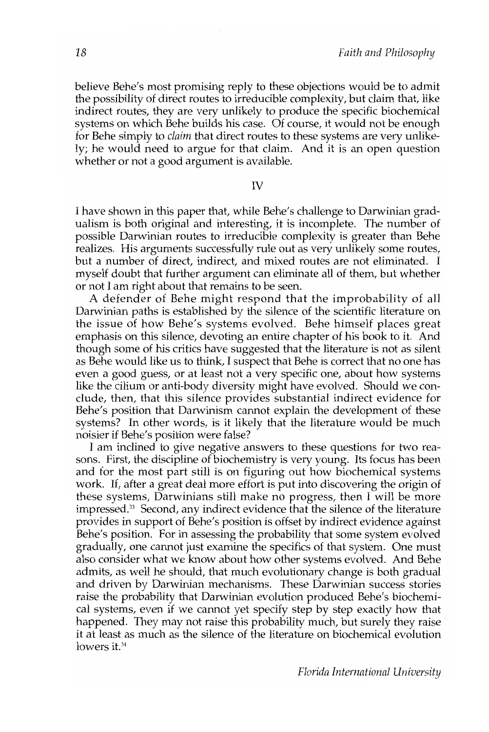believe Behe's most promising reply to these objections would be to admit the possibility of direct routes to irreducible complexity, but claim that, like indirect routes, they are very unlikely to produce the specific biochemical systems on which Behe builds his case. Of course, it would not be enough for Behe simply to *claim* that direct routes to these systems are very unlikely; he would need to argue for that claim. And it is an open question whether or not a good argument is available.

IV

I have shown in this paper that, while Behe's challenge to Darwinian gradualism is both original and interesting, it is incomplete. The number of possible Darwinian routes to irreducible complexity is greater than Behe realizes. His arguments successfully rule out as very unlikely some routes, but a number of direct, indirect, and mixed routes are not eliminated. I myself doubt that further argument can eliminate all of them, but whether or not I am right about that remains to be seen.

A defender of Behe might respond that the improbability of all Darwinian paths is established by the silence of the scientific literature on the issue of how Behe's systems evolved. Behe himself places great emphasis on this silence, devoting an entire chapter of his book to it. And though some of his critics have suggested that the literature is not as silent as Behe would like us to think, I suspect that Behe is correct that no one has even a good guess, or at least not a very specific one, about how systems like the cilium or anti-body diversity might have evolved. Should we conclude, then, that this silence provides substantial indirect evidence for Behe's position that Darwinism cannot explain the development of these systems? In other words, is it likely that the literature would be much noisier if Behe's position were false?

I am inclined to give negative answers to these questions for two reasons. first, the discipline of biochemistry is very young. Its focus has been and for the most part still is on figuring out how biochemical systems work. If, after a great deal more effort is put into discovering the origin of these systems, Darwinians still make no progress, then I will be more impressed.33 Second, any indirect evidence that the silence of the literature provides in support of Behe's position is offset by indirect evidence against Behe's position. For in assessing the probability that some system evolved gradually, one cannot just examine the specifics of that system. One must also consider what we know about how other systems evolved. And Behe admits, as well he should, that much evolutionary change is both gradual and driven by Darwinian mechanisms. These Darwinian success stories raise the probability that Darwinian evolution produced Behe's biochemical systems, even if we cannot yet specify step by step exactly how that happened. They may not raise this probability much, but surely they raise it at least as much as the silence of the literature on biochemical evolution lowers it.<sup>34</sup>

*Florida International Un iversity*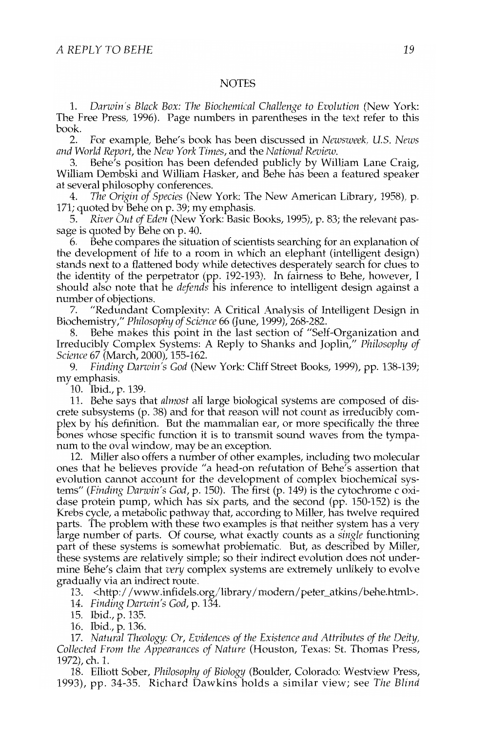#### NOTES

1. Darwin's Black Box: The Biochemical Challenge to Evolution (New York: The Free Press, 1996). Page numbers in parentheses in the text refer to this book.

2. For example, Behe's book has been discussed in *Newsweek, U.S. News and World Report, the New York Times, and the National Review.* 

3. Behe's position has been defended publicly by William Lane Craig, William Dembski and William Hasker, and Behe has been a featured speaker at several philosophy conferences.

*4. TIll' Origin of Spl'cies* (New York: The New American Library, 1958), p. 171; quoted by Behe on p. 39; my emphasis.

*River Out of Eden* (New York: Basic Books, 1995), p. 83; the relevant passage is quoted by Behe on p. 40.

Behe compares the situation of scientists searching for an explanation of the development of life to a room in which an elephant (intelligent design) stands next to a flattened body while detectives desperately search for clues to the identity of the perpetrator (pp. 192-193). In fairness to Behe, however, I should also note that he *defends* his inference to intelligent design against a number of objections.

7. "Redundant Complexity: A Critical Analysis of Intelligent Design in Biochemistry," Philosophy of Science 66 (June, 1999), 268-282.

8. Behe makes this point in the last section of "Self-Organization and Irreducibly Complex Systems: A Reply to Shanks and Joplin," *Philosophy of Science* 67 (March, 2000), 155-162.

*9. Finding Darwin's Cod* (New York: Cliff Street Books, 1999), pp. 138-139; my emphasis.

10. Ibid., p. 139.

11. Behe says that *almost* all large biological systems are composed of discrete subsystems (p. 38) and for that reason will not count as irreducibly complex by his definition. But the mammalian ear, or more specifically the three bones whose specific function it is to transmit sound waves from the tympanum to the oval window, may be an exception.

12. Miller also offers a number of other examples, including two molecular ones that he believes provide "a head-on refutation of Behe's assertion that evolution cannot account for the development of complex biochemical systems" *(Finding Darwin's God,* p. 150). The first (p. 149) is the cytochrome c oxidase protein pump, which has six parts, and the second (pp. 150-152) is the Krebs cycle, a metabolic pathway that, according to Miller, has twelve required parts. The problem with these two examples is that neither system has a very large number of parts. Of course, what exactly counts as a *single* functioning part of these systems is somewhat problematic. But, as described by Miller, these systems are relatively simple; so their indirect evolution does not undermine Behe's claim that *very* complex systems are extremely unlikely to evolve gradually via an indirect route.

13. <http://www.infidels.org/library/modern/peter\_atkins/behe.htm1> .

*14. Finding Darwin's God,* p. 134.

15. Ibid., p. 135.

16. Ibid., p. 136.

17. Natural Theology: Or, Evidences of the Existence and Attributes of the Deity, *Collected From the Appearances of Nature* (Houston, Texas: St. Thomas Press, 1972), ch. 1.

18. Elliott Sober, *Philosophy of Biology* (Boulder, Colorado: Westview Press, 1993), pp. 34-35. Richard Dawkins holds a similar view; see *The Blind*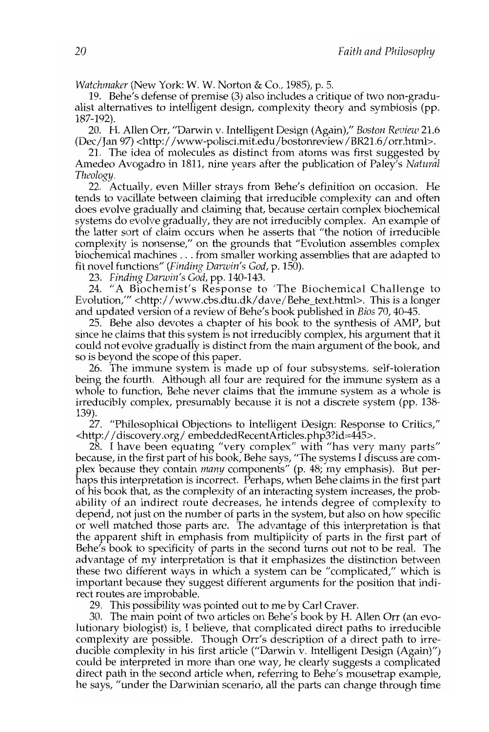*Watchmaker* (New York: W. W. Norton & Co., 1985), p. 5.

19. Behe's defense of premise (3) also includes a critique of two non-gradualist alternatives to intelligent design, complexity theory and symbiosis (pp. 187-192).

20. H. Allen Orr, "Darwin v. Intelligent Design (Again)," *Boston Review 21.6*  (Dec/Jan 97) <http://www-polisci.mit.edu/bostonreview /BR21.6/orr.html>.

21. The idea of molecules as distinct from atoms was first suggested by Amedeo Avogadro in 1811, nine years after the publication of Paley's *Natural Theology.* 

22. Actually, even Miller strays from Behe's definition on occasion. He tends to vacillate between claiming that irreducible complexity can and often does evolve gradually and claiming that, because certain complex biochemical systems do evolve gradually, they are not irreducibly complex. An example of the latter sort of claim occurs when he asserts that "the notion of irreducible complexity is nonsense," on the grounds that "Evolution assembles complex biochemical machines ... from smaller working assemblies that are adapted to fit novel functions" *(Finding Darwin's God,* p. 150).

*23. Finding Darwin's God,* pp. 140-143.

24. "A Biochemist's Response to 'The Biochemical Challenge to Evolution,'" <http://www.cbs.dtu.dk/dave/Behe\_text.html>.This is a longer and updated version of a review of Behe's book published in *Bios* 70,40-45.

25. Behe also devotes a chapter of his book to the synthesis of AMP, but since he claims that this system is not irreducibly complex, his argument that it could not evolve gradually is distinct from the main argument of the book, and so is beyond the scope of this paper.

26. The immune system is made up of four subsystems, self-toleration being the fourth. Although all four are required for the immune system as a whole to function, Behe never claims that the immune system as a whole is irreducibly complex, presumably because it is not a discrete system (pp. 138- 139).

27. "Philosophical Objections to Intelligent Design: Response to Critics," <http://discovery .org/ embeddedRecentArticles. php3?id=445>.

28. I have been equating "very complex" with "has very many parts" because, in the first part of his book, Behe says, "The systems I discuss are complex because they contain *many* components" (p. 48; my emphasis). But perhaps this interpretation is incorrect. Perhaps, when Behe claims in the first part of his book that, as the complexity of an interacting system increases, the probability of an indirect route decreases, he intends degree of complexity to depend, not just on the number of parts in the system, but also on how specific or well matched those parts are. The advantage of this interpretation is that the apparent shift in emphasis from multiplicity of parts in the first part of Behe's book to specificity of parts in the second turns out not to be reaL The advantage of my interpretation is that it emphasizes the distinction between these two different ways in which a system can be "complicated," which is important because they suggest different arguments for the position that indirect routes are improbable.

29. This possibility was pointed out to me by Carl Craver.

30. The main point of two articles on Behe's book by H. Allen Orr (an evolutionary biologist) is, I believe, that complicated direct paths to irreducible complexity are possible. Though Orr's description of a direct path to irreducible complexity in his first article ("Darwin v. Intelligent Design (Again)") could be interpreted in more than one way, he clearly suggests a complicated direct path in the second article when, referring to Behe's mousetrap example, he says, "under the Darwinian scenario, all the parts can change through time